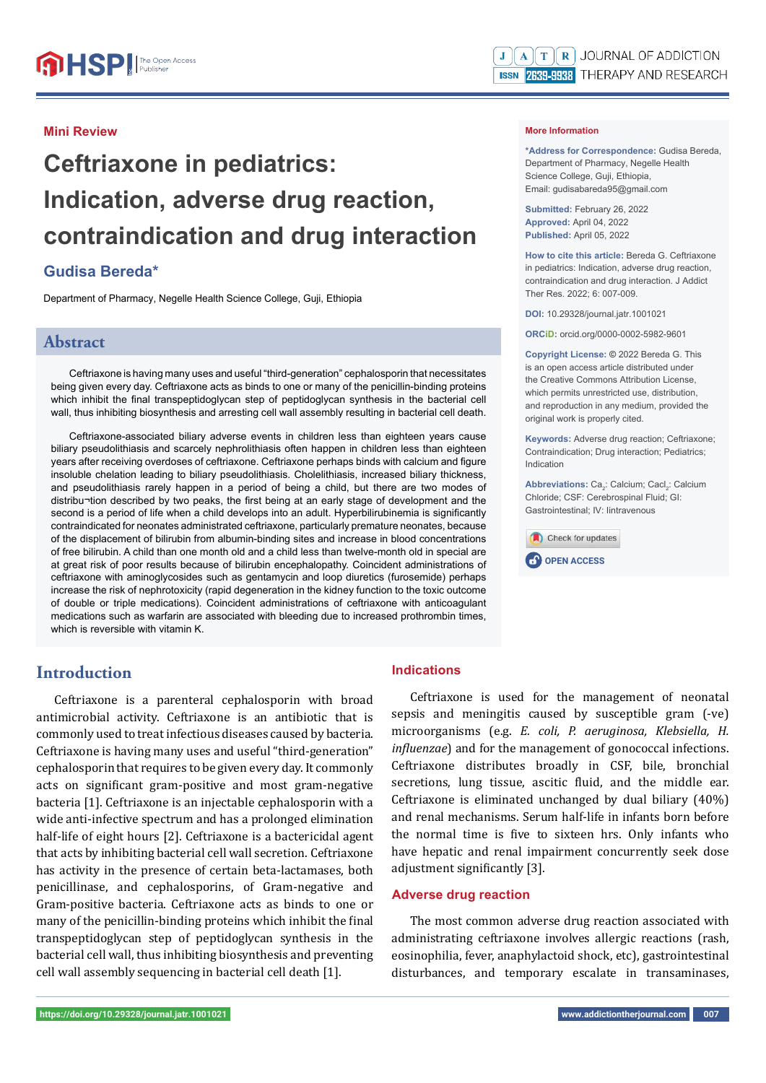### **Mini Review**

# **Ceftriaxone in pediatrics: Indication, adverse drug reaction, contraindication and drug interaction**

## **Gudisa Bereda\***

Department of Pharmacy, Negelle Health Science College, Guji, Ethiopia

## **Abstract**

Ceftriaxone is having many uses and useful "third-generation" cephalosporin that necessitates being given every day. Ceftriaxone acts as binds to one or many of the penicillin-binding proteins which inhibit the final transpeptidoglycan step of peptidoglycan synthesis in the bacterial cell wall, thus inhibiting biosynthesis and arresting cell wall assembly resulting in bacterial cell death.

Ceftriaxone-associated biliary adverse events in children less than eighteen years cause biliary pseudolithiasis and scarcely nephrolithiasis often happen in children less than eighteen years after receiving overdoses of ceftriaxone. Ceftriaxone perhaps binds with calcium and figure insoluble chelation leading to biliary pseudolithiasis. Cholelithiasis, increased biliary thickness, and pseudolithiasis rarely happen in a period of being a child, but there are two modes of distribu¬tion described by two peaks, the first being at an early stage of development and the second is a period of life when a child develops into an adult. Hyperbilirubinemia is significantly contraindicated for neonates administrated ceftriaxone, particularly premature neonates, because of the displacement of bilirubin from albumin-binding sites and increase in blood concentrations of free bilirubin. A child than one month old and a child less than twelve-month old in special are at great risk of poor results because of bilirubin encephalopathy. Coincident administrations of ceftriaxone with aminoglycosides such as gentamycin and loop diuretics (furosemide) perhaps increase the risk of nephrotoxicity (rapid degeneration in the kidney function to the toxic outcome of double or triple medications). Coincident administrations of ceftriaxone with anticoagulant medications such as warfarin are associated with bleeding due to increased prothrombin times, which is reversible with vitamin K.

#### **More Information**

**\*Address for Correspondence:** Gudisa Bereda, Department of Pharmacy, Negelle Health Science College, Guji, Ethiopia, Email: gudisabareda95@gmail.com

**Submitted:** February 26, 2022 **Approved:** April 04, 2022 **Published:** April 05, 2022

**How to cite this article:** Bereda G. Ceftriaxone in pediatrics: Indication, adverse drug reaction contraindication and drug interaction. J Addict Ther Res. 2022; 6: 007-009.

**DOI:** 10.29328/journal.jatr.1001021

**ORCiD:** orcid.org/0000-0002-5982-9601

**Copyright License: ©** 2022 Bereda G. This is an open access article distributed under the Creative Commons Attribution License, which permits unrestricted use, distribution, and reproduction in any medium, provided the original work is properly cited.

**Keywords:** Adverse drug reaction; Ceftriaxone; Contraindication; Drug interaction; Pediatrics; Indication

Abbreviations: Ca<sub>2</sub>: Calcium; Cacl<sub>2</sub>: Calcium Chloride; CSF: Cerebrospinal Fluid; GI: Gastrointestinal; IV: Iintravenous





# **Introduction**

Ceftriaxone is a parenteral cephalosporin with broad antimicrobial activity. Ceftriaxone is an antibiotic that is commonly used to treat infectious diseases caused by bacteria. Ceftriaxone is having many uses and useful "third-generation" cephalosporin that requires to be given every day. It commonly acts on significant gram-positive and most gram-negative bacteria [1]. Ceftriaxone is an injectable cephalosporin with a wide anti-infective spectrum and has a prolonged elimination half-life of eight hours [2]. Ceftriaxone is a bactericidal agent that acts by inhibiting bacterial cell wall secretion. Ceftriaxone has activity in the presence of certain beta-lactamases, both penicillinase, and cephalosporins, of Gram-negative and Gram-positive bacteria. Ceftriaxone acts as binds to one or many of the penicillin-binding proteins which inhibit the final transpeptidoglycan step of peptidoglycan synthesis in the bacterial cell wall, thus inhibiting biosynthesis and preventing cell wall assembly sequencing in bacterial cell death [1].

#### **Indications**

Ceftriaxone is used for the management of neonatal sepsis and meningitis caused by susceptible gram (-ve) microorganisms (e.g. *E. coli, P. aeruginosa, Klebsiella, H. influenzae*) and for the management of gonococcal infections. Ceftriaxone distributes broadly in CSF, bile, bronchial secretions, lung tissue, ascitic fluid, and the middle ear. Ceftriaxone is eliminated unchanged by dual biliary (40%) and renal mechanisms. Serum half-life in infants born before the normal time is five to sixteen hrs. Only infants who have hepatic and renal impairment concurrently seek dose adjustment significantly [3].

#### **Adverse drug reaction**

The most common adverse drug reaction associated with administrating ceftriaxone involves allergic reactions (rash, eosinophilia, fever, anaphylactoid shock, etc), gastrointestinal disturbances, and temporary escalate in transaminases,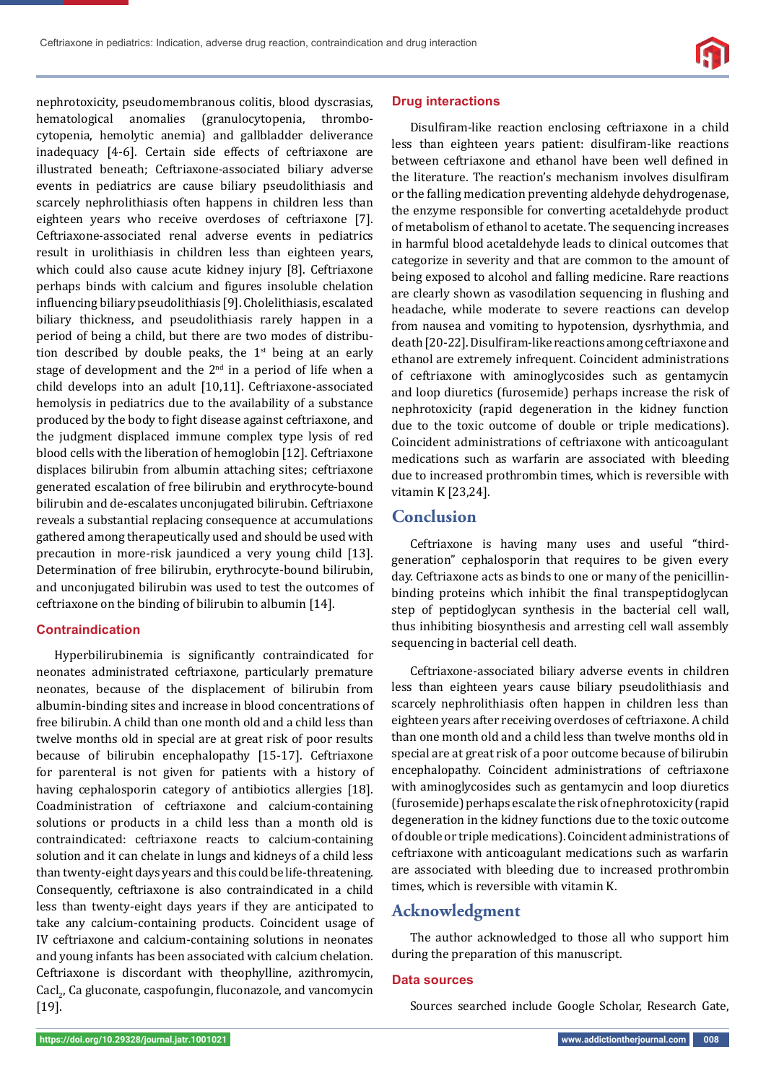nephrotoxicity, pseudomembranous colitis, blood dyscrasias, hematological anomalies (granulocytopenia, thrombocytopenia, hemolytic anemia) and gallbladder deliverance inadequacy [4-6]. Certain side effects of ceftriaxone are illustrated beneath; Ceftriaxone-associated biliary adverse events in pediatrics are cause biliary pseudolithiasis and scarcely nephrolithiasis often happens in children less than eighteen years who receive overdoses of ceftriaxone [7]. Ceftriaxone-associated renal adverse events in pediatrics result in urolithiasis in children less than eighteen years, which could also cause acute kidney injury [8]. Ceftriaxone perhaps binds with calcium and figures insoluble chelation influencing biliary pseudolithiasis [9]. Cholelithiasis, escalated biliary thickness, and pseudolithiasis rarely happen in a period of being a child, but there are two modes of distribution described by double peaks, the  $1<sup>st</sup>$  being at an early stage of development and the  $2<sup>nd</sup>$  in a period of life when a child develops into an adult [10,11]. Ceftriaxone-associated hemolysis in pediatrics due to the availability of a substance produced by the body to fight disease against ceftriaxone, and the judgment displaced immune complex type lysis of red blood cells with the liberation of hemoglobin [12]. Ceftriaxone displaces bilirubin from albumin attaching sites; ceftriaxone generated escalation of free bilirubin and erythrocyte-bound bilirubin and de-escalates unconjugated bilirubin. Ceftriaxone reveals a substantial replacing consequence at accumulations gathered among therapeutically used and should be used with precaution in more-risk jaundiced a very young child [13]. Determination of free bilirubin, erythrocyte-bound bilirubin, and unconjugated bilirubin was used to test the outcomes of ceftriaxone on the binding of bilirubin to albumin [14].

## **Contraindication**

Hyperbilirubinemia is significantly contraindicated for neonates administrated ceftriaxone, particularly premature neonates, because of the displacement of bilirubin from albumin-binding sites and increase in blood concentrations of free bilirubin. A child than one month old and a child less than twelve months old in special are at great risk of poor results because of bilirubin encephalopathy [15-17]. Ceftriaxone for parenteral is not given for patients with a history of having cephalosporin category of antibiotics allergies [18]. Coadministration of ceftriaxone and calcium-containing solutions or products in a child less than a month old is contraindicated: ceftriaxone reacts to calcium-containing solution and it can chelate in lungs and kidneys of a child less than twenty-eight days years and this could be life-threatening. Consequently, ceftriaxone is also contraindicated in a child less than twenty-eight days years if they are anticipated to take any calcium-containing products. Coincident usage of IV ceftriaxone and calcium-containing solutions in neonates and young infants has been associated with calcium chelation. Ceftriaxone is discordant with theophylline, azithromycin, Cacl<sub>2</sub>, Ca gluconate, caspofungin, fluconazole, and vancomycin [19].

#### **Drug interactions**

Disulfiram-like reaction enclosing ceftriaxone in a child less than eighteen years patient: disulfiram-like reactions between ceftriaxone and ethanol have been well defined in the literature. The reaction's mechanism involves disulfiram or the falling medication preventing aldehyde dehydrogenase, the enzyme responsible for converting acetaldehyde product of metabolism of ethanol to acetate. The sequencing increases in harmful blood acetaldehyde leads to clinical outcomes that categorize in severity and that are common to the amount of being exposed to alcohol and falling medicine. Rare reactions are clearly shown as vasodilation sequencing in flushing and headache, while moderate to severe reactions can develop from nausea and vomiting to hypotension, dysrhythmia, and death [20-22]. Disulfiram-like reactions among ceftriaxone and ethanol are extremely infrequent. Coincident administrations of ceftriaxone with aminoglycosides such as gentamycin and loop diuretics (furosemide) perhaps increase the risk of nephrotoxicity (rapid degeneration in the kidney function due to the toxic outcome of double or triple medications). Coincident administrations of ceftriaxone with anticoagulant medications such as warfarin are associated with bleeding due to increased prothrombin times, which is reversible with vitamin K [23,24].

# **Conclusion**

Ceftriaxone is having many uses and useful "thirdgeneration" cephalosporin that requires to be given every day. Ceftriaxone acts as binds to one or many of the penicillinbinding proteins which inhibit the final transpeptidoglycan step of peptidoglycan synthesis in the bacterial cell wall, thus inhibiting biosynthesis and arresting cell wall assembly sequencing in bacterial cell death.

Ceftriaxone-associated biliary adverse events in children less than eighteen years cause biliary pseudolithiasis and scarcely nephrolithiasis often happen in children less than eighteen years after receiving overdoses of ceftriaxone. A child than one month old and a child less than twelve months old in special are at great risk of a poor outcome because of bilirubin encephalopathy. Coincident administrations of ceftriaxone with aminoglycosides such as gentamycin and loop diuretics (furosemide) perhaps escalate the risk of nephrotoxicity (rapid degeneration in the kidney functions due to the toxic outcome of double or triple medications). Coincident administrations of ceftriaxone with anticoagulant medications such as warfarin are associated with bleeding due to increased prothrombin times, which is reversible with vitamin K.

## **Acknowledgment**

The author acknowledged to those all who support him during the preparation of this manuscript.

#### **Data sources**

Sources searched include Google Scholar, Research Gate,